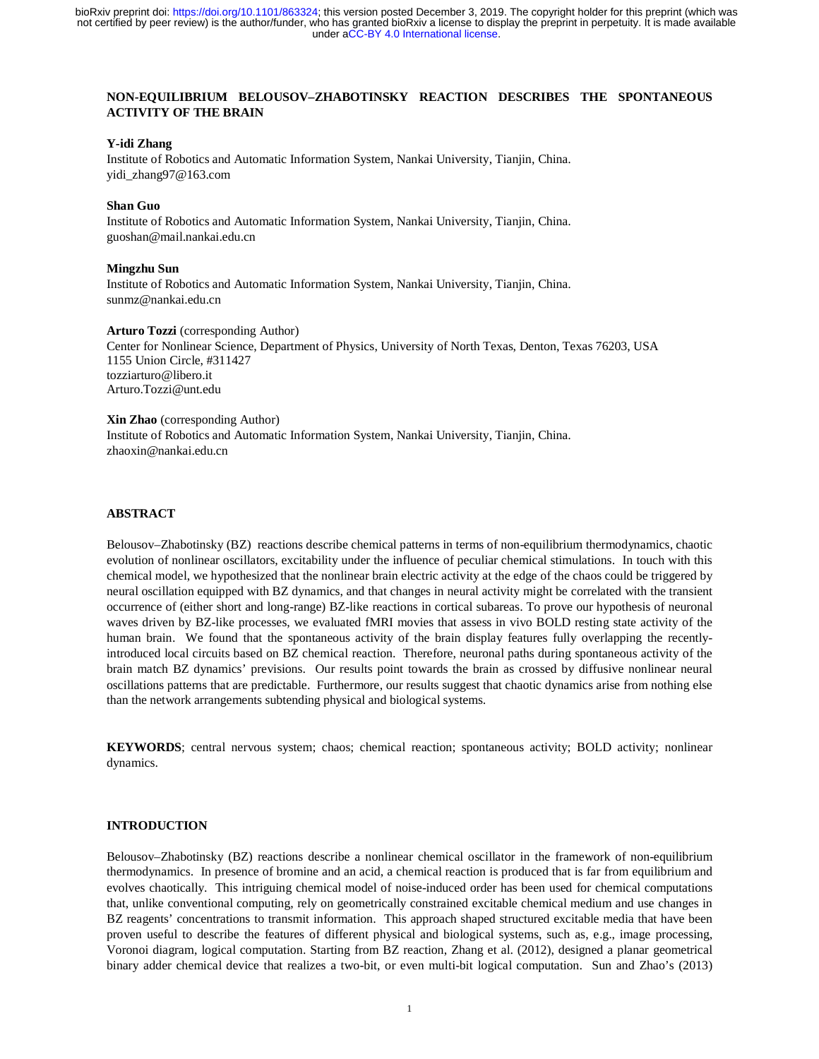# **NON-EQUILIBRIUM BELOUSOV–ZHABOTINSKY REACTION DESCRIBES THE SPONTANEOUS ACTIVITY OF THE BRAIN**

#### **Y-idi Zhang**

Institute of Robotics and Automatic Information System, Nankai University, Tianjin, China. yidi\_zhang97@163.com

## **Shan Guo**

Institute of Robotics and Automatic Information System, Nankai University, Tianjin, China. guoshan@mail.nankai.edu.cn

#### **Mingzhu Sun**

Institute of Robotics and Automatic Information System, Nankai University, Tianjin, China. sunmz@nankai.edu.cn

#### **Arturo Tozzi** (corresponding Author)

Center for Nonlinear Science, Department of Physics, University of North Texas, Denton, Texas 76203, USA 1155 Union Circle, #311427 tozziarturo@libero.it Arturo.Tozzi@unt.edu

#### **Xin Zhao** (corresponding Author)

Institute of Robotics and Automatic Information System, Nankai University, Tianjin, China. zhaoxin@nankai.edu.cn

## **ABSTRACT**

Belousov–Zhabotinsky (BZ) reactions describe chemical patterns in terms of non-equilibrium thermodynamics, chaotic evolution of nonlinear oscillators, excitability under the influence of peculiar chemical stimulations. In touch with this chemical model, we hypothesized that the nonlinear brain electric activity at the edge of the chaos could be triggered by neural oscillation equipped with BZ dynamics, and that changes in neural activity might be correlated with the transient occurrence of (either short and long-range) BZ-like reactions in cortical subareas. To prove our hypothesis of neuronal waves driven by BZ-like processes, we evaluated fMRI movies that assess in vivo BOLD resting state activity of the human brain. We found that the spontaneous activity of the brain display features fully overlapping the recentlyintroduced local circuits based on BZ chemical reaction. Therefore, neuronal paths during spontaneous activity of the brain match BZ dynamics' previsions. Our results point towards the brain as crossed by diffusive nonlinear neural oscillations patterns that are predictable. Furthermore, our results suggest that chaotic dynamics arise from nothing else than the network arrangements subtending physical and biological systems.

**KEYWORDS**; central nervous system; chaos; chemical reaction; spontaneous activity; BOLD activity; nonlinear dynamics.

## **INTRODUCTION**

Belousov–Zhabotinsky (BZ) reactions describe a nonlinear chemical oscillator in the framework of non-equilibrium thermodynamics. In presence of bromine and an acid, a chemical reaction is produced that is far from equilibrium and evolves chaotically. This intriguing chemical model of noise-induced order has been used for chemical computations that, unlike conventional computing, rely on geometrically constrained excitable chemical medium and use changes in BZ reagents' concentrations to transmit information. This approach shaped structured excitable media that have been proven useful to describe the features of different physical and biological systems, such as, e.g., image processing, Voronoi diagram, logical computation. Starting from BZ reaction, Zhang et al. (2012), designed a planar geometrical binary adder chemical device that realizes a two-bit, or even multi-bit logical computation. Sun and Zhao's (2013)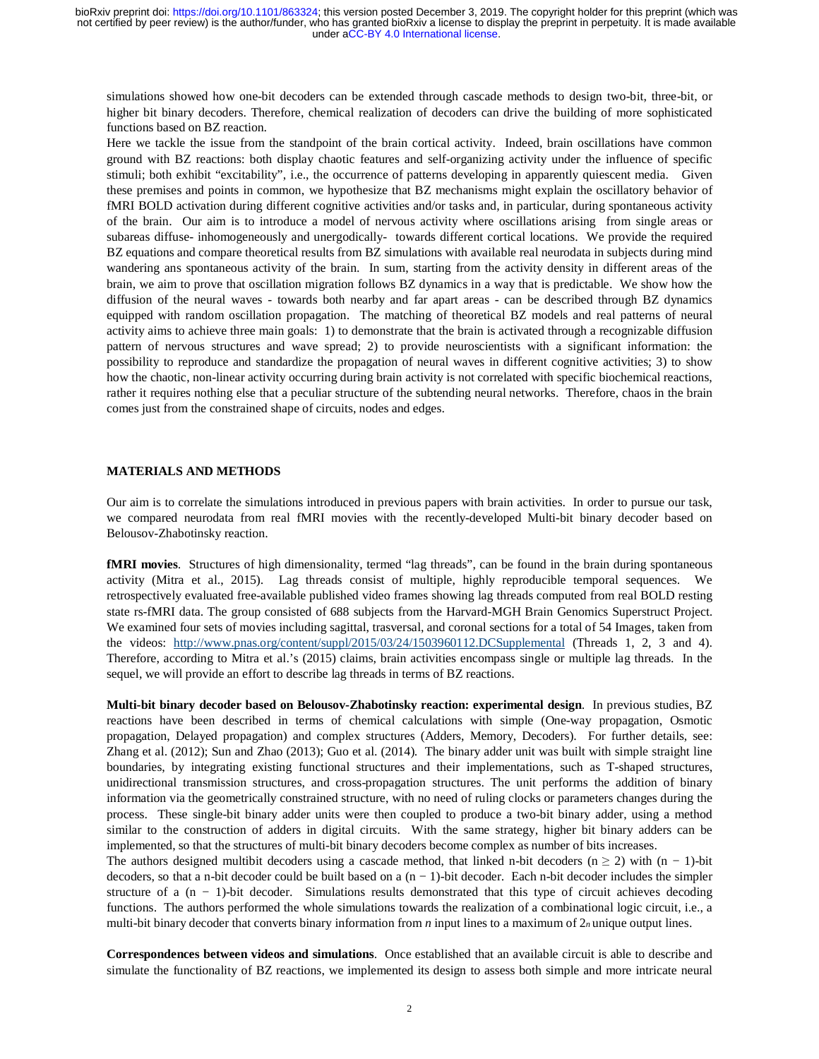simulations showed how one-bit decoders can be extended through cascade methods to design two-bit, three-bit, or higher bit binary decoders. Therefore, chemical realization of decoders can drive the building of more sophisticated functions based on BZ reaction.

Here we tackle the issue from the standpoint of the brain cortical activity. Indeed, brain oscillations have common ground with BZ reactions: both display chaotic features and self-organizing activity under the influence of specific stimuli; both exhibit "excitability", i.e., the occurrence of patterns developing in apparently quiescent media. Given these premises and points in common, we hypothesize that BZ mechanisms might explain the oscillatory behavior of fMRI BOLD activation during different cognitive activities and/or tasks and, in particular, during spontaneous activity of the brain. Our aim is to introduce a model of nervous activity where oscillations arising from single areas or subareas diffuse- inhomogeneously and unergodically- towards different cortical locations. We provide the required BZ equations and compare theoretical results from BZ simulations with available real neurodata in subjects during mind wandering ans spontaneous activity of the brain. In sum, starting from the activity density in different areas of the brain, we aim to prove that oscillation migration follows BZ dynamics in a way that is predictable. We show how the diffusion of the neural waves - towards both nearby and far apart areas - can be described through BZ dynamics equipped with random oscillation propagation. The matching of theoretical BZ models and real patterns of neural activity aims to achieve three main goals: 1) to demonstrate that the brain is activated through a recognizable diffusion pattern of nervous structures and wave spread; 2) to provide neuroscientists with a significant information: the possibility to reproduce and standardize the propagation of neural waves in different cognitive activities; 3) to show how the chaotic, non-linear activity occurring during brain activity is not correlated with specific biochemical reactions, rather it requires nothing else that a peculiar structure of the subtending neural networks. Therefore, chaos in the brain comes just from the constrained shape of circuits, nodes and edges.

# **MATERIALS AND METHODS**

Our aim is to correlate the simulations introduced in previous papers with brain activities. In order to pursue our task, we compared neurodata from real fMRI movies with the recently-developed Multi-bit binary decoder based on Belousov-Zhabotinsky reaction.

**fMRI movies**. Structures of high dimensionality, termed "lag threads", can be found in the brain during spontaneous activity (Mitra et al., 2015). Lag threads consist of multiple, highly reproducible temporal sequences. We retrospectively evaluated free-available published video frames showing lag threads computed from real BOLD resting state rs-fMRI data. The group consisted of 688 subjects from the Harvard-MGH Brain Genomics Superstruct Project. We examined four sets of movies including sagittal, trasversal, and coronal sections for a total of 54 Images, taken from the videos: http://www.pnas.org/content/suppl/2015/03/24/1503960112.DCSupplemental (Threads 1, 2, 3 and 4). Therefore, according to Mitra et al.'s (2015) claims, brain activities encompass single or multiple lag threads. In the sequel, we will provide an effort to describe lag threads in terms of BZ reactions.

**Multi-bit binary decoder based on Belousov-Zhabotinsky reaction: experimental design**. In previous studies, BZ reactions have been described in terms of chemical calculations with simple (One-way propagation, Osmotic propagation, Delayed propagation) and complex structures (Adders, Memory, Decoders). For further details, see: Zhang et al. (2012); Sun and Zhao (2013); Guo et al. (2014). The binary adder unit was built with simple straight line boundaries, by integrating existing functional structures and their implementations, such as T-shaped structures, unidirectional transmission structures, and cross-propagation structures. The unit performs the addition of binary information via the geometrically constrained structure, with no need of ruling clocks or parameters changes during the process. These single-bit binary adder units were then coupled to produce a two-bit binary adder, using a method similar to the construction of adders in digital circuits. With the same strategy, higher bit binary adders can be implemented, so that the structures of multi-bit binary decoders become complex as number of bits increases.

The authors designed multibit decoders using a cascade method, that linked n-bit decoders (n  $\geq$  2) with (n − 1)-bit decoders, so that a n-bit decoder could be built based on a (n − 1)-bit decoder. Each n-bit decoder includes the simpler structure of a  $(n - 1)$ -bit decoder. Simulations results demonstrated that this type of circuit achieves decoding functions. The authors performed the whole simulations towards the realization of a combinational logic circuit, i.e., a multi-bit binary decoder that converts binary information from *n* input lines to a maximum of 2*n* unique output lines.

**Correspondences between videos and simulations**. Once established that an available circuit is able to describe and simulate the functionality of BZ reactions, we implemented its design to assess both simple and more intricate neural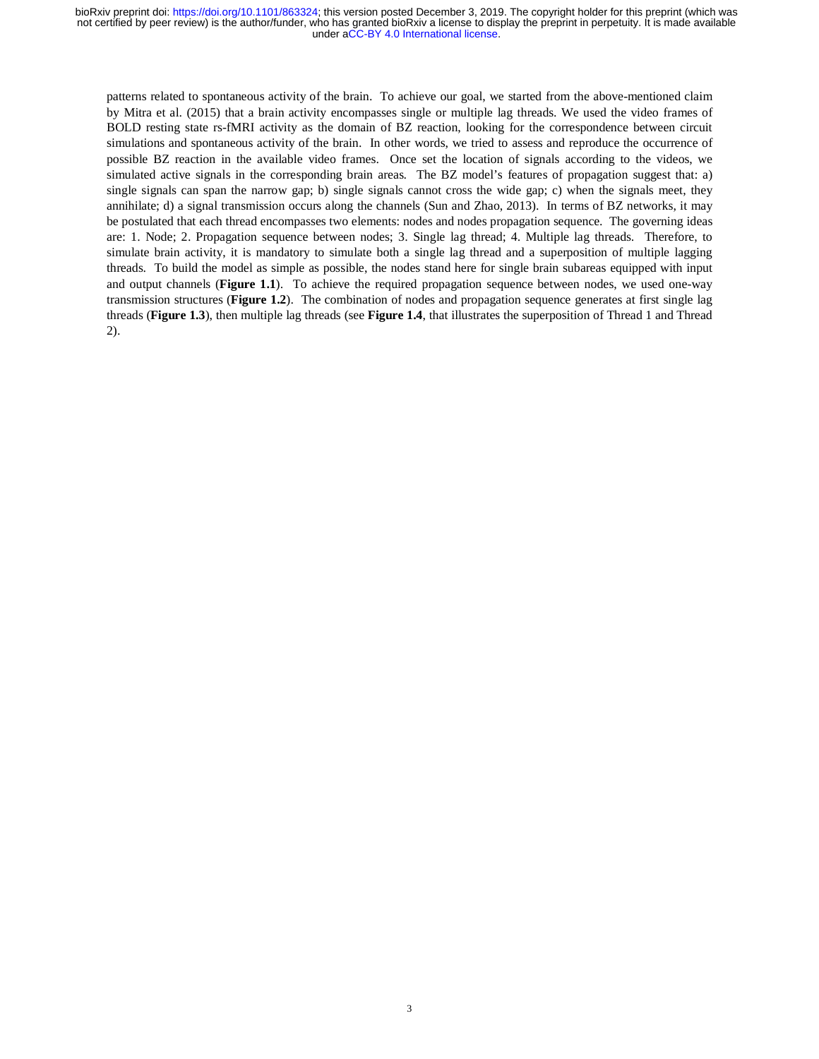patterns related to spontaneous activity of the brain. To achieve our goal, we started from the above-mentioned claim by Mitra et al. (2015) that a brain activity encompasses single or multiple lag threads. We used the video frames of BOLD resting state rs-fMRI activity as the domain of BZ reaction, looking for the correspondence between circuit simulations and spontaneous activity of the brain. In other words, we tried to assess and reproduce the occurrence of possible BZ reaction in the available video frames. Once set the location of signals according to the videos, we simulated active signals in the corresponding brain areas. The BZ model's features of propagation suggest that: a) single signals can span the narrow gap; b) single signals cannot cross the wide gap; c) when the signals meet, they annihilate; d) a signal transmission occurs along the channels (Sun and Zhao, 2013). In terms of BZ networks, it may be postulated that each thread encompasses two elements: nodes and nodes propagation sequence. The governing ideas are: 1. Node; 2. Propagation sequence between nodes; 3. Single lag thread; 4. Multiple lag threads. Therefore, to simulate brain activity, it is mandatory to simulate both a single lag thread and a superposition of multiple lagging threads. To build the model as simple as possible, the nodes stand here for single brain subareas equipped with input and output channels (**Figure 1.1**). To achieve the required propagation sequence between nodes, we used one-way transmission structures (**Figure 1.2**). The combination of nodes and propagation sequence generates at first single lag threads (**Figure 1.3**), then multiple lag threads (see **Figure 1.4**, that illustrates the superposition of Thread 1 and Thread 2).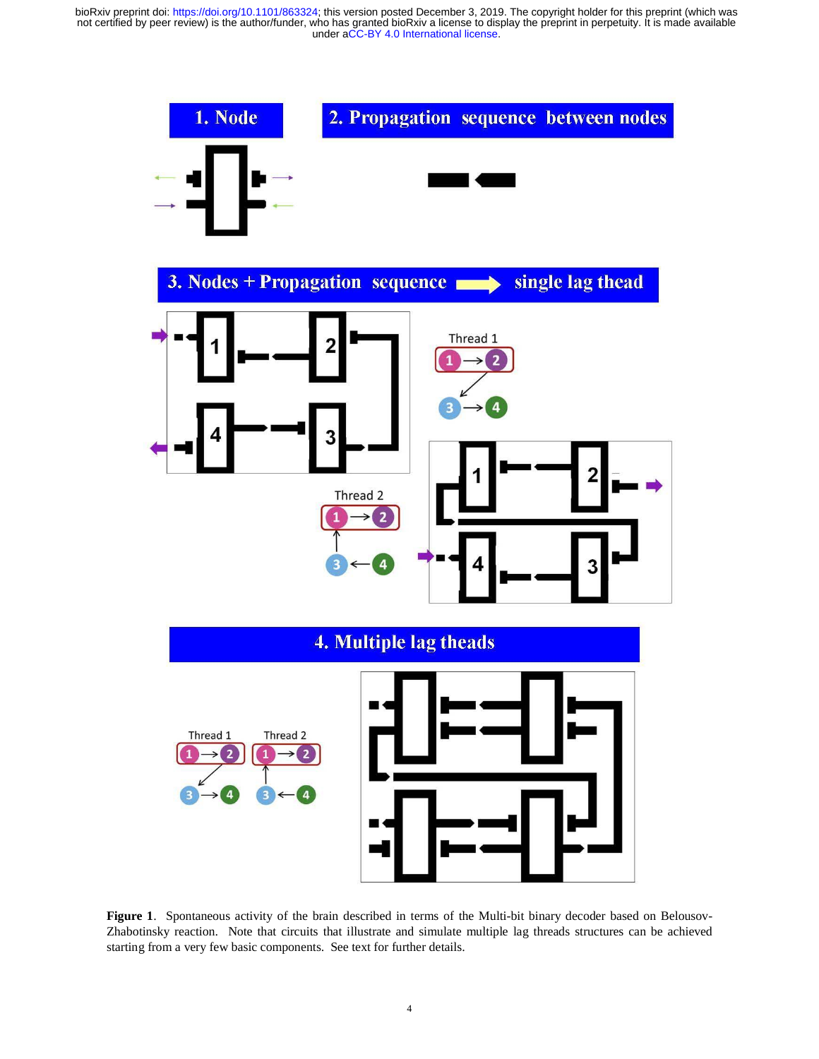

**Figure 1**. Spontaneous activity of the brain described in terms of the Multi-bit binary decoder based on Belousov-Zhabotinsky reaction. Note that circuits that illustrate and simulate multiple lag threads structures can be achieved starting from a very few basic components. See text for further details.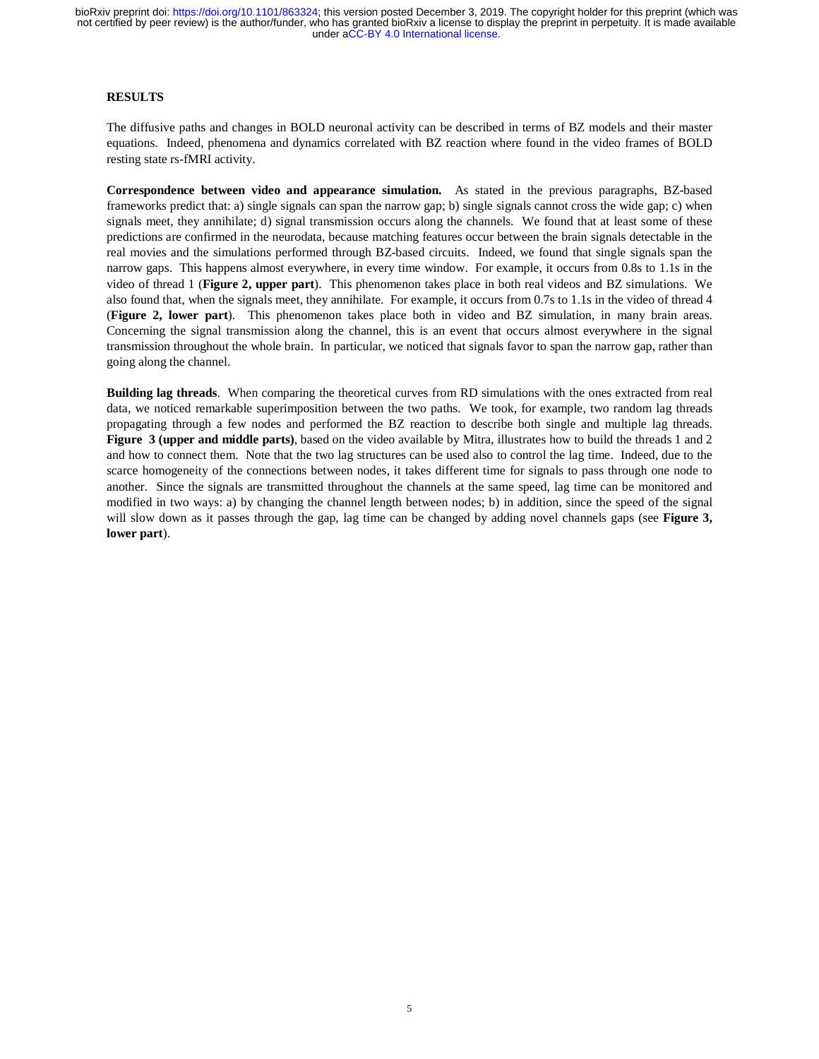# **RESULTS**

The diffusive paths and changes in BOLD neuronal activity can be described in terms of BZ models and their master equations. Indeed, phenomena and dynamics correlated with BZ reaction where found in the video frames of BOLD resting state rs-fMRI activity.

**Correspondence between video and appearance simulation.** As stated in the previous paragraphs, BZ-based frameworks predict that: a) single signals can span the narrow gap; b) single signals cannot cross the wide gap; c) when signals meet, they annihilate; d) signal transmission occurs along the channels. We found that at least some of these predictions are confirmed in the neurodata, because matching features occur between the brain signals detectable in the real movies and the simulations performed through BZ-based circuits. Indeed, we found that single signals span the narrow gaps. This happens almost everywhere, in every time window. For example, it occurs from 0.8s to 1.1s in the video of thread 1 (**Figure 2, upper part**). This phenomenon takes place in both real videos and BZ simulations. We also found that, when the signals meet, they annihilate. For example, it occurs from 0.7s to 1.1s in the video of thread 4 (**Figure 2, lower part**). This phenomenon takes place both in video and BZ simulation, in many brain areas. Concerning the signal transmission along the channel, this is an event that occurs almost everywhere in the signal transmission throughout the whole brain. In particular, we noticed that signals favor to span the narrow gap, rather than going along the channel.

**Building lag threads**. When comparing the theoretical curves from RD simulations with the ones extracted from real data, we noticed remarkable superimposition between the two paths. We took, for example, two random lag threads propagating through a few nodes and performed the BZ reaction to describe both single and multiple lag threads. **Figure 3 (upper and middle parts)**, based on the video available by Mitra, illustrates how to build the threads 1 and 2 and how to connect them. Note that the two lag structures can be used also to control the lag time. Indeed, due to the scarce homogeneity of the connections between nodes, it takes different time for signals to pass through one node to another. Since the signals are transmitted throughout the channels at the same speed, lag time can be monitored and modified in two ways: a) by changing the channel length between nodes; b) in addition, since the speed of the signal will slow down as it passes through the gap, lag time can be changed by adding novel channels gaps (see **Figure 3, lower part**).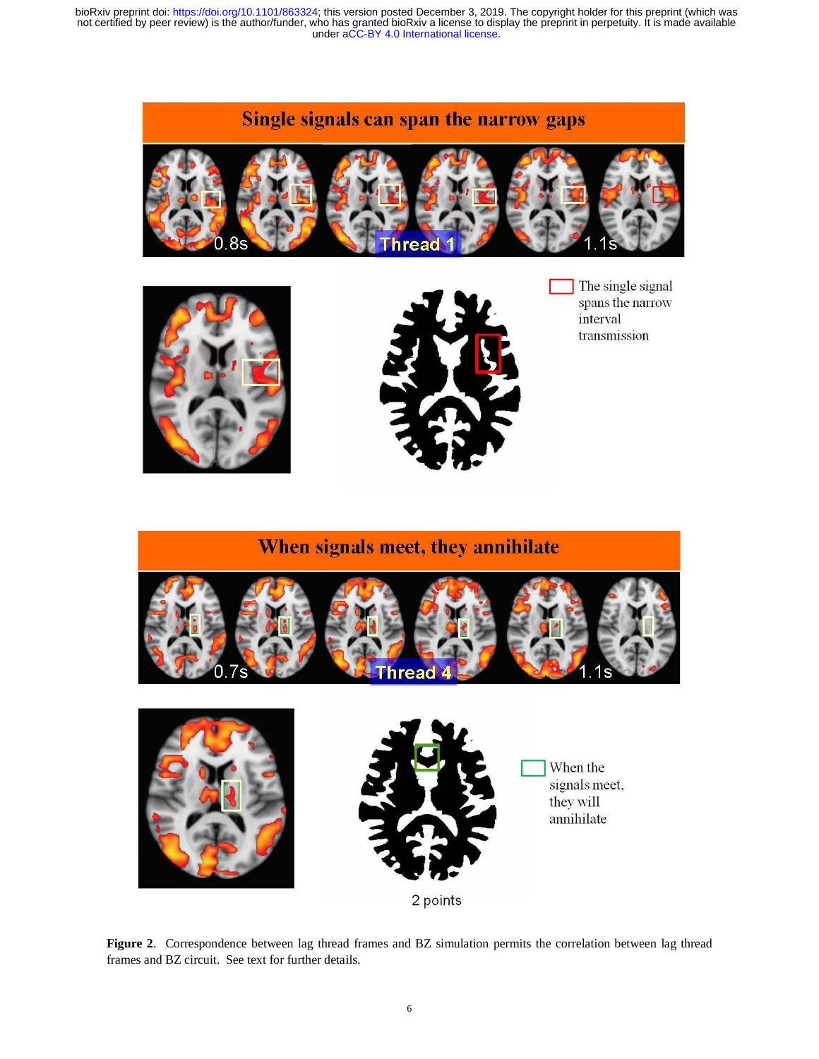# Single signals can span the narrow gaps







The single signal spans the narrow interval transmission



**Figure 2**. Correspondence between lag thread frames and BZ simulation permits the correlation between lag thread frames and BZ circuit. See text for further details.

2 points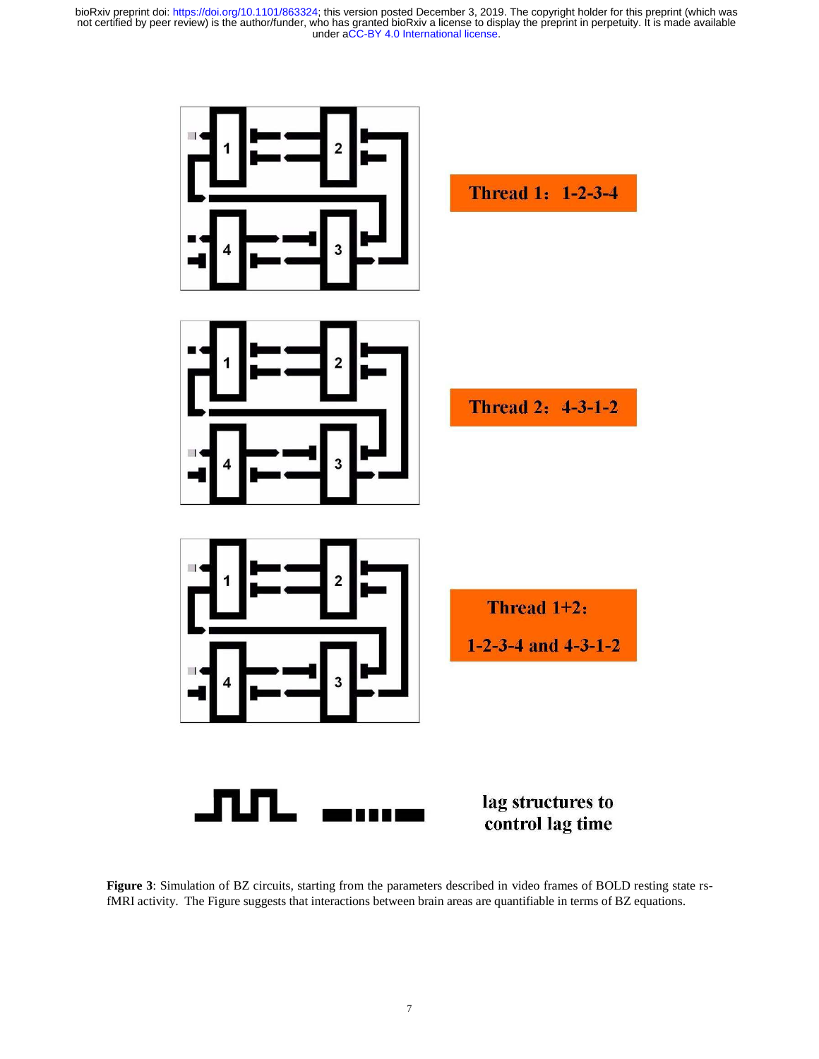

**Figure 3**: Simulation of BZ circuits, starting from the parameters described in video frames of BOLD resting state rsfMRI activity. The Figure suggests that interactions between brain areas are quantifiable in terms of BZ equations.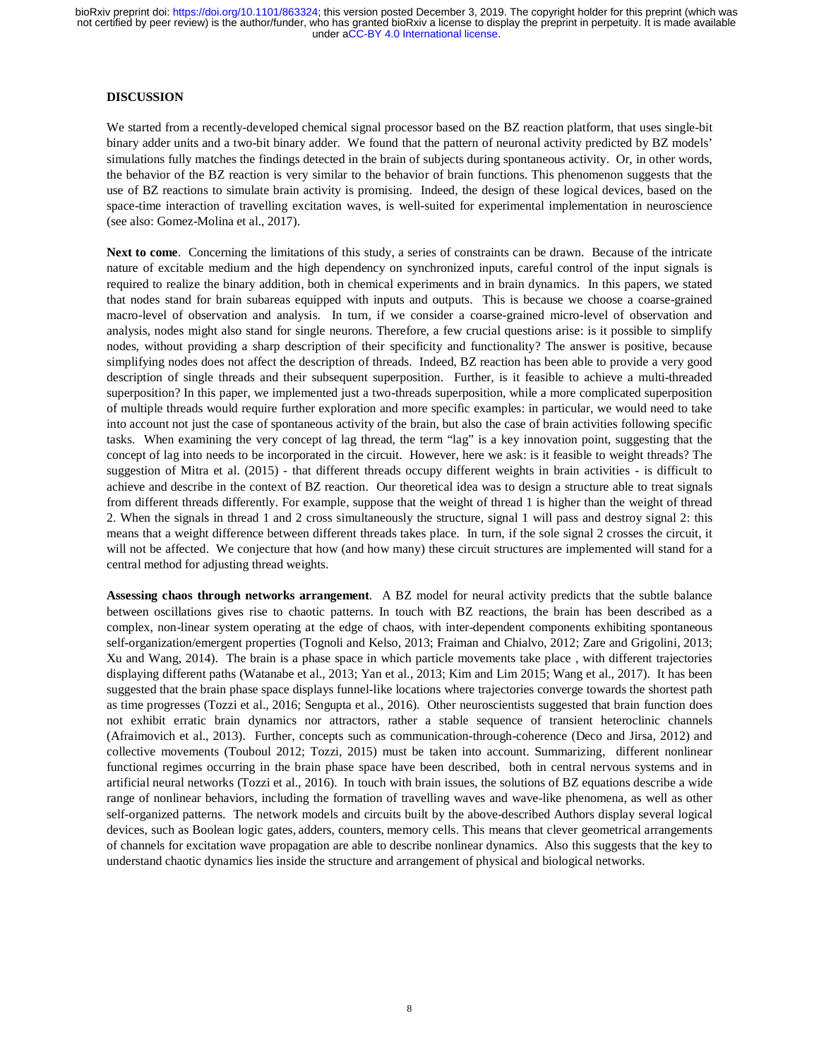# **DISCUSSION**

We started from a recently-developed chemical signal processor based on the BZ reaction platform, that uses single-bit binary adder units and a two-bit binary adder. We found that the pattern of neuronal activity predicted by BZ models' simulations fully matches the findings detected in the brain of subjects during spontaneous activity. Or, in other words, the behavior of the BZ reaction is very similar to the behavior of brain functions. This phenomenon suggests that the use of BZ reactions to simulate brain activity is promising. Indeed, the design of these logical devices, based on the space-time interaction of travelling excitation waves, is well-suited for experimental implementation in neuroscience (see also: Gomez-Molina et al., 2017).

**Next to come**. Concerning the limitations of this study, a series of constraints can be drawn. Because of the intricate nature of excitable medium and the high dependency on synchronized inputs, careful control of the input signals is required to realize the binary addition, both in chemical experiments and in brain dynamics. In this papers, we stated that nodes stand for brain subareas equipped with inputs and outputs. This is because we choose a coarse-grained macro-level of observation and analysis. In turn, if we consider a coarse-grained micro-level of observation and analysis, nodes might also stand for single neurons. Therefore, a few crucial questions arise: is it possible to simplify nodes, without providing a sharp description of their specificity and functionality? The answer is positive, because simplifying nodes does not affect the description of threads. Indeed, BZ reaction has been able to provide a very good description of single threads and their subsequent superposition. Further, is it feasible to achieve a multi-threaded superposition? In this paper, we implemented just a two-threads superposition, while a more complicated superposition of multiple threads would require further exploration and more specific examples: in particular, we would need to take into account not just the case of spontaneous activity of the brain, but also the case of brain activities following specific tasks. When examining the very concept of lag thread, the term "lag" is a key innovation point, suggesting that the concept of lag into needs to be incorporated in the circuit. However, here we ask: is it feasible to weight threads? The suggestion of Mitra et al. (2015) - that different threads occupy different weights in brain activities - is difficult to achieve and describe in the context of BZ reaction. Our theoretical idea was to design a structure able to treat signals from different threads differently. For example, suppose that the weight of thread 1 is higher than the weight of thread 2. When the signals in thread 1 and 2 cross simultaneously the structure, signal 1 will pass and destroy signal 2: this means that a weight difference between different threads takes place. In turn, if the sole signal 2 crosses the circuit, it will not be affected. We conjecture that how (and how many) these circuit structures are implemented will stand for a central method for adjusting thread weights.

**Assessing chaos through networks arrangement**. A BZ model for neural activity predicts that the subtle balance between oscillations gives rise to chaotic patterns. In touch with BZ reactions, the brain has been described as a complex, non-linear system operating at the edge of chaos, with inter-dependent components exhibiting spontaneous self-organization/emergent properties (Tognoli and Kelso, 2013; Fraiman and Chialvo, 2012; Zare and Grigolini, 2013; Xu and Wang, 2014). The brain is a phase space in which particle movements take place , with different trajectories displaying different paths (Watanabe et al., 2013; Yan et al., 2013; Kim and Lim 2015; Wang et al., 2017). It has been suggested that the brain phase space displays funnel-like locations where trajectories converge towards the shortest path as time progresses (Tozzi et al., 2016; Sengupta et al., 2016). Other neuroscientists suggested that brain function does not exhibit erratic brain dynamics nor attractors, rather a stable sequence of transient heteroclinic channels (Afraimovich et al., 2013). Further, concepts such as communication-through-coherence (Deco and Jirsa, 2012) and collective movements (Touboul 2012; Tozzi, 2015) must be taken into account. Summarizing, different nonlinear functional regimes occurring in the brain phase space have been described, both in central nervous systems and in artificial neural networks (Tozzi et al., 2016). In touch with brain issues, the solutions of BZ equations describe a wide range of nonlinear behaviors, including the formation of travelling waves and wave-like phenomena, as well as other self-organized patterns. The network models and circuits built by the above-described Authors display several logical devices, such as Boolean logic gates, adders, counters, memory cells. This means that clever geometrical arrangements of channels for excitation wave propagation are able to describe nonlinear dynamics. Also this suggests that the key to understand chaotic dynamics lies inside the structure and arrangement of physical and biological networks.